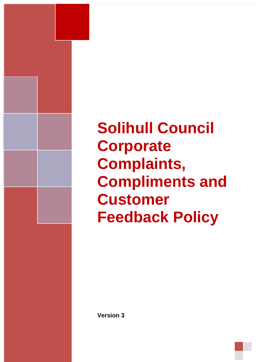

# **Solihull Council Corporate Complaints, Compliments and Customer Feedback Policy**

**Version 3**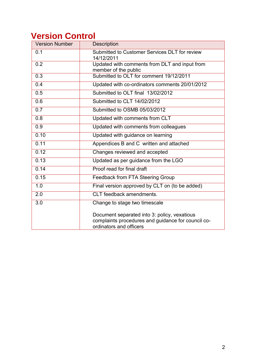# **Version Control**

| <b>Version Number</b> | <b>Description</b>                                                                                                            |
|-----------------------|-------------------------------------------------------------------------------------------------------------------------------|
| 0.1                   | Submitted to Customer Services DLT for review<br>14/12/2011                                                                   |
| 0.2                   | Updated with comments from DLT and input from<br>member of the public                                                         |
| 0.3                   | Submitted to OLT for comment 19/12/2011                                                                                       |
| 0.4                   | Updated with co-ordinators comments 20/01/2012                                                                                |
| 0.5                   | Submitted to OLT final 13/02/2012                                                                                             |
| 0.6                   | Submitted to CLT 14/02/2012                                                                                                   |
| 0.7                   | Submitted to OSMB 05/03/2012                                                                                                  |
| 0.8                   | Updated with comments from CLT                                                                                                |
| 0.9                   | Updated with comments from colleagues                                                                                         |
| 0.10                  | Updated with guidance on learning                                                                                             |
| 0.11                  | Appendices B and C written and attached                                                                                       |
| 0.12                  | Changes reviewed and accepted                                                                                                 |
| 0.13                  | Updated as per guidance from the LGO                                                                                          |
| 0.14                  | Proof read for final draft                                                                                                    |
| 0.15                  | Feedback from FTA Steering Group                                                                                              |
| 1.0                   | Final version approved by CLT on (to be added)                                                                                |
| 2.0                   | CLT feedback amendments.                                                                                                      |
| 3.0                   | Change to stage two timescale                                                                                                 |
|                       | Document separated into 3: policy, vexatious<br>complaints procedures and guidance for council co-<br>ordinators and officers |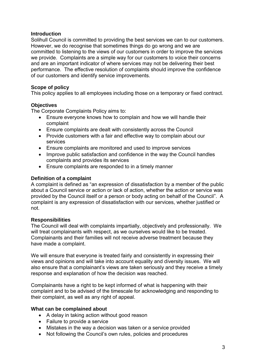# **Introduction**

Solihull Council is committed to providing the best services we can to our customers. However, we do recognise that sometimes things do go wrong and we are committed to listening to the views of our customers in order to improve the services we provide. Complaints are a simple way for our customers to voice their concerns and are an important indicator of where services may not be delivering their best performance. The effective resolution of complaints should improve the confidence of our customers and identify service improvements.

# **Scope of policy**

This policy applies to all employees including those on a temporary or fixed contract.

# **Objectives**

The Corporate Complaints Policy aims to:

- Ensure everyone knows how to complain and how we will handle their complaint
- Ensure complaints are dealt with consistently across the Council
- Provide customers with a fair and effective way to complain about our services
- Ensure complaints are monitored and used to improve services
- Improve public satisfaction and confidence in the way the Council handles complaints and provides its services
- Ensure complaints are responded to in a timely manner

# **Definition of a complaint**

A complaint is defined as "an expression of dissatisfaction by a member of the public about a Council service or action or lack of action, whether the action or service was provided by the Council itself or a person or body acting on behalf of the Council". A complaint is any expression of dissatisfaction with our services, whether justified or not.

# **Responsibilities**

The Council will deal with complaints impartially, objectively and professionally. We will treat complainants with respect, as we ourselves would like to be treated. Complainants and their families will not receive adverse treatment because they have made a complaint.

We will ensure that everyone is treated fairly and consistently in expressing their views and opinions and will take into account equality and diversity issues. We will also ensure that a complainant's views are taken seriously and they receive a timely response and explanation of how the decision was reached.

Complainants have a right to be kept informed of what is happening with their complaint and to be advised of the timescale for acknowledging and responding to their complaint, as well as any right of appeal.

#### **What can be complained about**

- A delay in taking action without good reason
- Failure to provide a service
- Mistakes in the way a decision was taken or a service provided
- Not following the Council's own rules, policies and procedures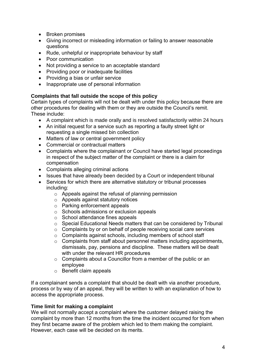- Broken promises
- Giving incorrect or misleading information or failing to answer reasonable questions
- Rude, unhelpful or inappropriate behaviour by staff
- Poor communication
- Not providing a service to an acceptable standard
- Providing poor or inadequate facilities
- Providing a bias or unfair service
- Inappropriate use of personal information

# **Complaints that fall outside the scope of this policy**

Certain types of complaints will not be dealt with under this policy because there are other procedures for dealing with them or they are outside the Council's remit. These include:

- A complaint which is made orally and is resolved satisfactorily within 24 hours
- An initial request for a service such as reporting a faulty street light or requesting a single missed bin collection
- Matters of law or central government policy
- Commercial or contractual matters
- Complaints where the complainant or Council have started legal proceedings in respect of the subject matter of the complaint or there is a claim for compensation
- Complaints alleging criminal actions
- Issues that have already been decided by a Court or independent tribunal
- Services for which there are alternative statutory or tribunal processes including:
	- o Appeals against the refusal of planning permission
	- o Appeals against statutory notices
	- o Parking enforcement appeals
	- o Schools admissions or exclusion appeals
	- o School attendance fines appeals
	- o Special Educational Needs matters that can be considered by Tribunal
	- o Complaints by or on behalf of people receiving social care services
	- o Complaints against schools, including members of school staff
	- $\circ$  Complaints from staff about personnel matters including appointments, dismissals, pay, pensions and discipline. These matters will be dealt with under the relevant HR procedures
	- o Complaints about a Councillor from a member of the public or an employee
	- o Benefit claim appeals

If a complainant sends a complaint that should be dealt with via another procedure, process or by way of an appeal, they will be written to with an explanation of how to access the appropriate process.

# **Time limit for making a complaint**

We will not normally accept a complaint where the customer delayed raising the complaint by more than 12 months from the time the incident occurred for from when they first became aware of the problem which led to them making the complaint. However, each case will be decided on its merits.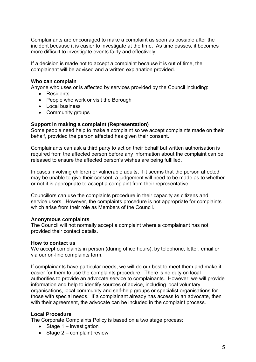Complainants are encouraged to make a complaint as soon as possible after the incident because it is easier to investigate at the time. As time passes, it becomes more difficult to investigate events fairly and effectively.

If a decision is made not to accept a complaint because it is out of time, the complainant will be advised and a written explanation provided.

#### **Who can complain**

Anyone who uses or is affected by services provided by the Council including:

- Residents
- People who work or visit the Borough
- Local business
- Community groups

#### **Support in making a complaint (Representation)**

Some people need help to make a complaint so we accept complaints made on their behalf, provided the person affected has given their consent.

Complainants can ask a third party to act on their behalf but written authorisation is required from the affected person before any information about the complaint can be released to ensure the affected person's wishes are being fulfilled.

In cases involving children or vulnerable adults, if it seems that the person affected may be unable to give their consent, a judgement will need to be made as to whether or not it is appropriate to accept a complaint from their representative.

Councillors can use the complaints procedure in their capacity as citizens and service users. However, the complaints procedure is not appropriate for complaints which arise from their role as Members of the Council.

#### **Anonymous complaints**

The Council will not normally accept a complaint where a complainant has not provided their contact details.

#### **How to contact us**

We accept complaints in person (during office hours), by telephone, letter, email or via our on-line complaints form.

If complainants have particular needs, we will do our best to meet them and make it easier for them to use the complaints procedure. There is no duty on local authorities to provide an advocate service to complainants. However, we will provide information and help to identify sources of advice, including local voluntary organisations, local community and self-help groups or specialist organisations for those with special needs. If a complainant already has access to an advocate, then with their agreement, the advocate can be included in the complaint process.

#### **Local Procedure**

The Corporate Complaints Policy is based on a two stage process:

- $\bullet$  Stage 1 investigation
- Stage  $2$  complaint review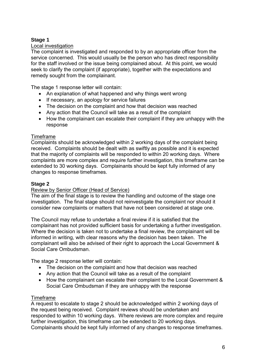# **Stage 1**

# Local investigation

The complaint is investigated and responded to by an appropriate officer from the service concerned. This would usually be the person who has direct responsibility for the staff involved or the issue being complained about. At this point, we would seek to clarify the complaint (if appropriate), together with the expectations and remedy sought from the complainant.

The stage 1 response letter will contain:

- An explanation of what happened and why things went wrong
- If necessary, an apology for service failures
- The decision on the complaint and how that decision was reached
- Any action that the Council will take as a result of the complaint
- How the complainant can escalate their complaint if they are unhappy with the response

#### Timeframe

Complaints should be acknowledged within 2 working days of the complaint being received. Complaints should be dealt with as swiftly as possible and it is expected that the majority of complaints will be responded to within 20 working days. Where complaints are more complex and require further investigation, this timeframe can be extended to 30 working days. Complainants should be kept fully informed of any changes to response timeframes.

# **Stage 2**

#### Review by Senior Officer (Head of Service)

The aim of the final stage is to review the handling and outcome of the stage one investigation. The final stage should not reinvestigate the complaint nor should it consider new complaints or matters that have not been considered at stage one.

The Council may refuse to undertake a final review if it is satisfied that the complainant has not provided sufficient basis for undertaking a further investigation. Where the decision is taken not to undertake a final review, the complainant will be informed in writing, with clear reasons why the decision has been taken. The complainant will also be advised of their right to approach the Local Government & Social Care Ombudsman.

The stage 2 response letter will contain:

- The decision on the complaint and how that decision was reached
- Any action that the Council will take as a result of the complaint
- How the complainant can escalate their complaint to the Local Government & Social Care Ombudsman if they are unhappy with the response

#### Timeframe

A request to escalate to stage 2 should be acknowledged within 2 working days of the request being received. Complaint reviews should be undertaken and responded to within 10 working days. Where reviews are more complex and require further investigation, this timeframe can be extended to 20 working days. Complainants should be kept fully informed of any changes to response timeframes.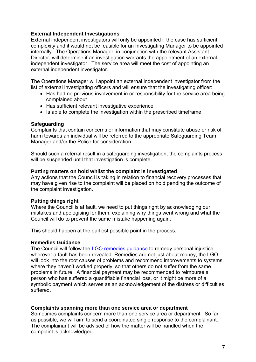# **External Independent Investigations**

External independent investigators will only be appointed if the case has sufficient complexity and it would not be feasible for an Investigating Manager to be appointed internally. The Operations Manager, in conjunction with the relevant Assistant Director, will determine if an investigation warrants the appointment of an external independent investigator. The service area will meet the cost of appointing an external independent investigator.

The Operations Manager will appoint an external independent investigator from the list of external investigating officers and will ensure that the investigating officer:

- Has had no previous involvement in or responsibility for the service area being complained about
- Has sufficient relevant investigative experience
- Is able to complete the investigation within the prescribed timeframe

# **Safeguarding**

Complaints that contain concerns or information that may constitute abuse or risk of harm towards an individual will be referred to the appropriate Safeguarding Team Manager and/or the Police for consideration.

Should such a referral result in a safeguarding investigation, the complaints process will be suspended until that investigation is complete.

# **Putting matters on hold whilst the complaint is investigated**

Any actions that the Council is taking in relation to financial recovery processes that may have given rise to the complaint will be placed on hold pending the outcome of the complaint investigation.

# **Putting things right**

Where the Council is at fault, we need to put things right by acknowledging our mistakes and apologising for them, explaining why things went wrong and what the Council will do to prevent the same mistake happening again.

This should happen at the earliest possible point in the process.

#### **Remedies Guidance**

The Council will follow the [LGO remedies guidance](https://www.lgo.org.uk/assets/attach/2619/Remedies%20V8%20FINAL.1%20%2018.5.18.pdf) to remedy personal injustice wherever a fault has been revealed. Remedies are not just about money, the LGO will look into the root causes of problems and recommend improvements to systems where they haven't worked properly, so that others do not suffer from the same problems in future. A financial payment may be recommended to reimburse a person who has suffered a quantifiable financial loss, or it might be more of a symbolic payment which serves as an acknowledgement of the distress or difficulties suffered.

#### **Complaints spanning more than one service area or department**

Sometimes complaints concern more than one service area or department. So far as possible, we will aim to send a coordinated single response to the complainant. The complainant will be advised of how the matter will be handled when the complaint is acknowledged.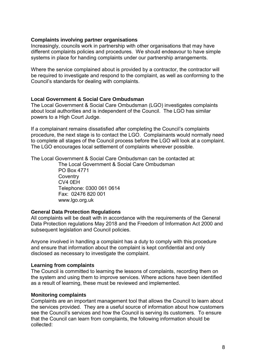#### **Complaints involving partner organisations**

Increasingly, councils work in partnership with other organisations that may have different complaints policies and procedures. We should endeavour to have simple systems in place for handing complaints under our partnership arrangements.

Where the service complained about is provided by a contractor, the contractor will be required to investigate and respond to the complaint, as well as conforming to the Council's standards for dealing with complaints.

#### **Local Government & Social Care Ombudsman**

The Local Government & Social Care Ombudsman (LGO) investigates complaints about local authorities and is independent of the Council. The LGO has similar powers to a High Court Judge.

If a complainant remains dissatisfied after completing the Council's complaints procedure, the next stage is to contact the LGO. Complainants would normally need to complete all stages of the Council process before the LGO will look at a complaint. The LGO encourages local settlement of complaints wherever possible.

The Local Government & Social Care Ombudsman can be contacted at:

The Local Government & Social Care Ombudsman PO Box 4771 **Coventry** CV4 0EH Telephone: 0300 061 0614 Fax: 02476 820 001 www.lgo.org.uk

#### **General Data Protection Regulations**

All complaints will be dealt with in accordance with the requirements of the General Data Protection regulations May 2018 and the Freedom of Information Act 2000 and subsequent legislation and Council policies.

Anyone involved in handling a complaint has a duty to comply with this procedure and ensure that information about the complaint is kept confidential and only disclosed as necessary to investigate the complaint.

#### **Learning from complaints**

The Council is committed to learning the lessons of complaints, recording them on the system and using them to improve services. Where actions have been identified as a result of learning, these must be reviewed and implemented.

#### **Monitoring complaints**

Complaints are an important management tool that allows the Council to learn about the services provided. They are a useful source of information about how customers see the Council's services and how the Council is serving its customers. To ensure that the Council can learn from complaints, the following information should be collected: